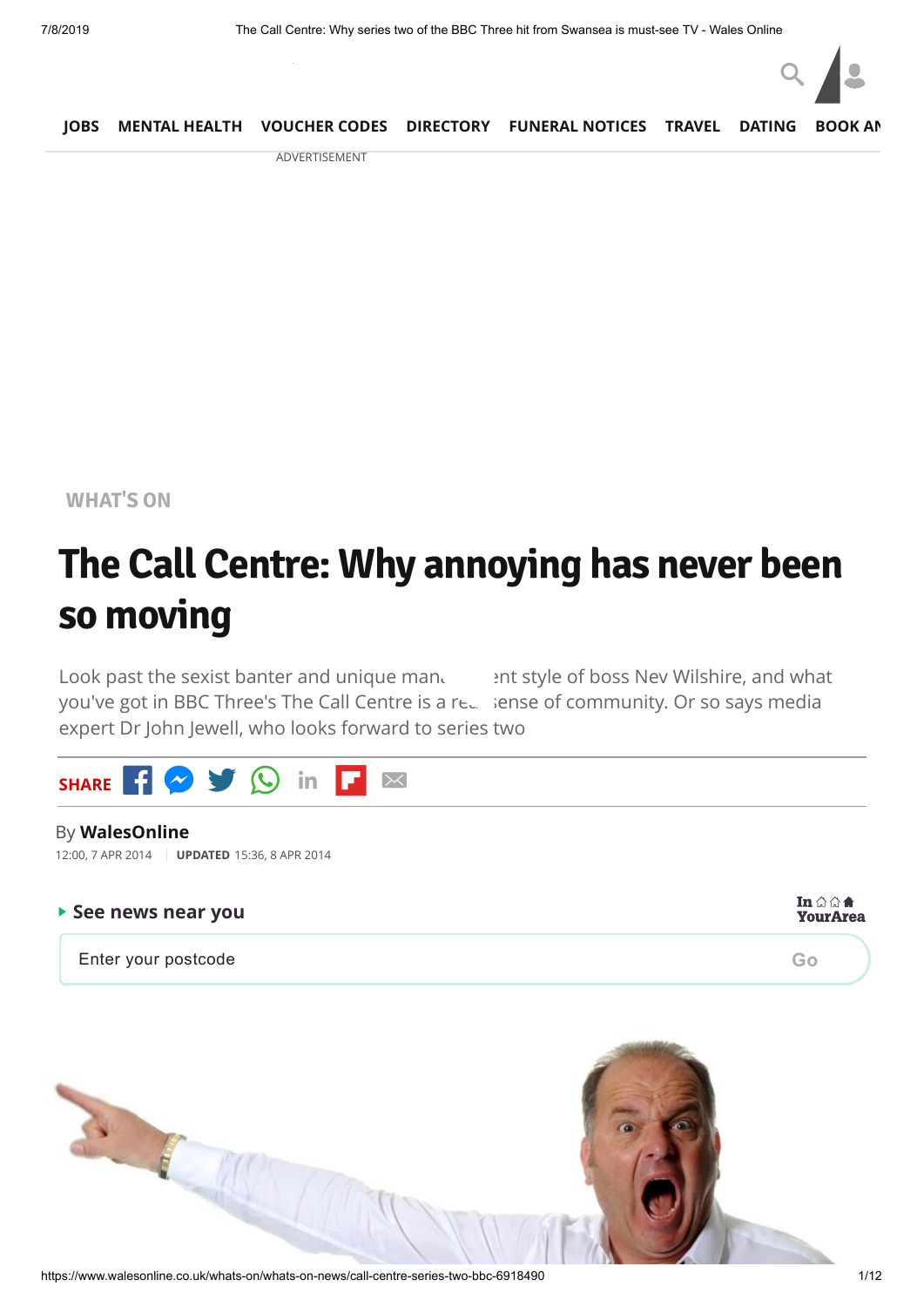

|  |   | JOBS MENTAL HEALTH VOUCHER CODES DIRECTORY FUNERAL NOTICES TRAVEL DATING BOOK AN |  |  |
|--|---|----------------------------------------------------------------------------------|--|--|
|  | . |                                                                                  |  |  |

ADVERTISEMENT

**[WHAT'S](https://www.walesonline.co.uk/whats-on/) ON**

## **The Call Centre: Why annoying has never been so moving**

Look past the sexist banter and unique mand style of boss Nev Wilshire, and what you've got in BBC Three's The Call Centre is a real sense of community. Or so says media expert Dr John Jewell, who looks forward to series two



#### By **WalesOnline**

12:00, 7 APR 2014 **UPDATED** 15:36, 8 APR 2014

| $\triangleright$ See news near you |    |  |
|------------------------------------|----|--|
| Enter your postcode                | Go |  |

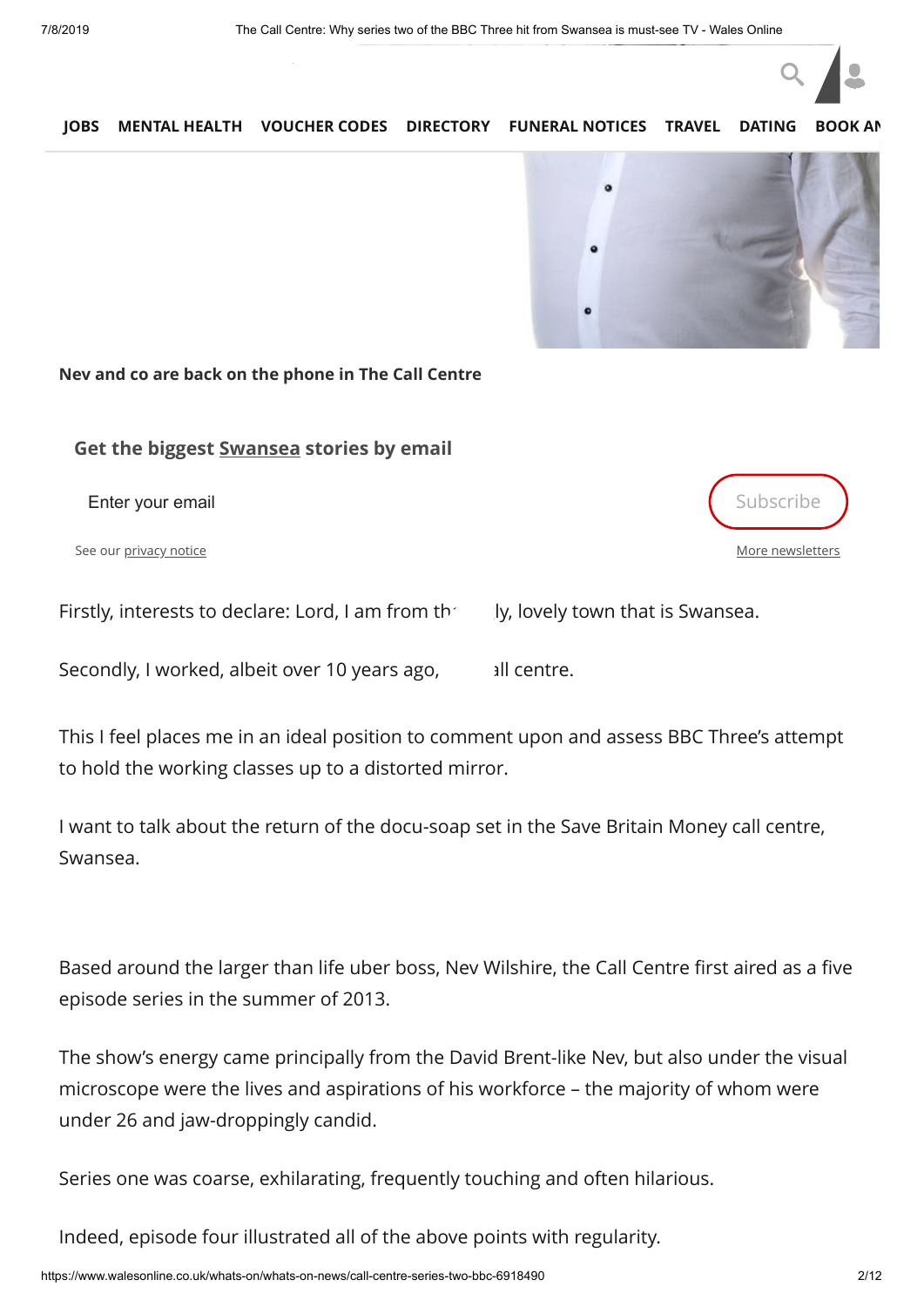

[More newsletters](https://communicatoremail.com/IN/DCF/A8H9jAkG3nMZsLXGF91M1D/)

#### **[JOBS](https://www.fish4.co.uk/jobs/wales/?utm_source=tm-walesonline&utm_medium=referral&utm_campaign=navlink) [MENTAL HEALTH](https://timewith.co.uk/blog?utm_source=wales_online&utm_medium=nav_bar) [VOUCHER CODES](https://discountcode.mirror.co.uk/) [DIRECTORY](https://www.inyourarea.co.uk/localservices?branding=walesonline) [FUNERAL NOTICES](https://www.funeral-notices.co.uk/wales) [TRAVEL](https://www.walesonline.co.uk/special-features/holiday-deals-walesonline-travel-beach-14554645) [DATING](http://dating.walesonline.co.uk/) [BOOK AN](http://www.bookanad.com/regions/wales/)**



#### **Nev and co are back on the phone in The Call Centre**

#### **Get the biggest Swansea stories by email**

Enter your email Subscribe and the set of the set of the set of the set of the set of the set of the set of the set of the set of the set of the set of the set of the set of the set of the set of the set of the set of the

See our [privacy notice](https://www.walesonline.co.uk/privacy-policy/)

Firstly, interests to declare: Lord, I am from the uply, lovely town that is Swansea.

Secondly, I worked, albeit over 10 years ago, all centre.

This I feel places me in an ideal position to comment upon and assess BBC Three's attempt to hold the working classes up to a distorted mirror.

I want to talk about the return of the docu-soap set in the Save Britain Money call centre, Swansea.

Based around the larger than life uber boss, Nev Wilshire, the Call Centre first aired as a five episode series in the summer of 2013.

The show's energy came principally from the David Brent-like Nev, but also under the visual microscope were the lives and aspirations of his workforce – the majority of whom were under 26 and jaw-droppingly candid.

Series one was coarse, exhilarating, frequently touching and often hilarious.

Indeed, episode four illustrated all of the above points with regularity.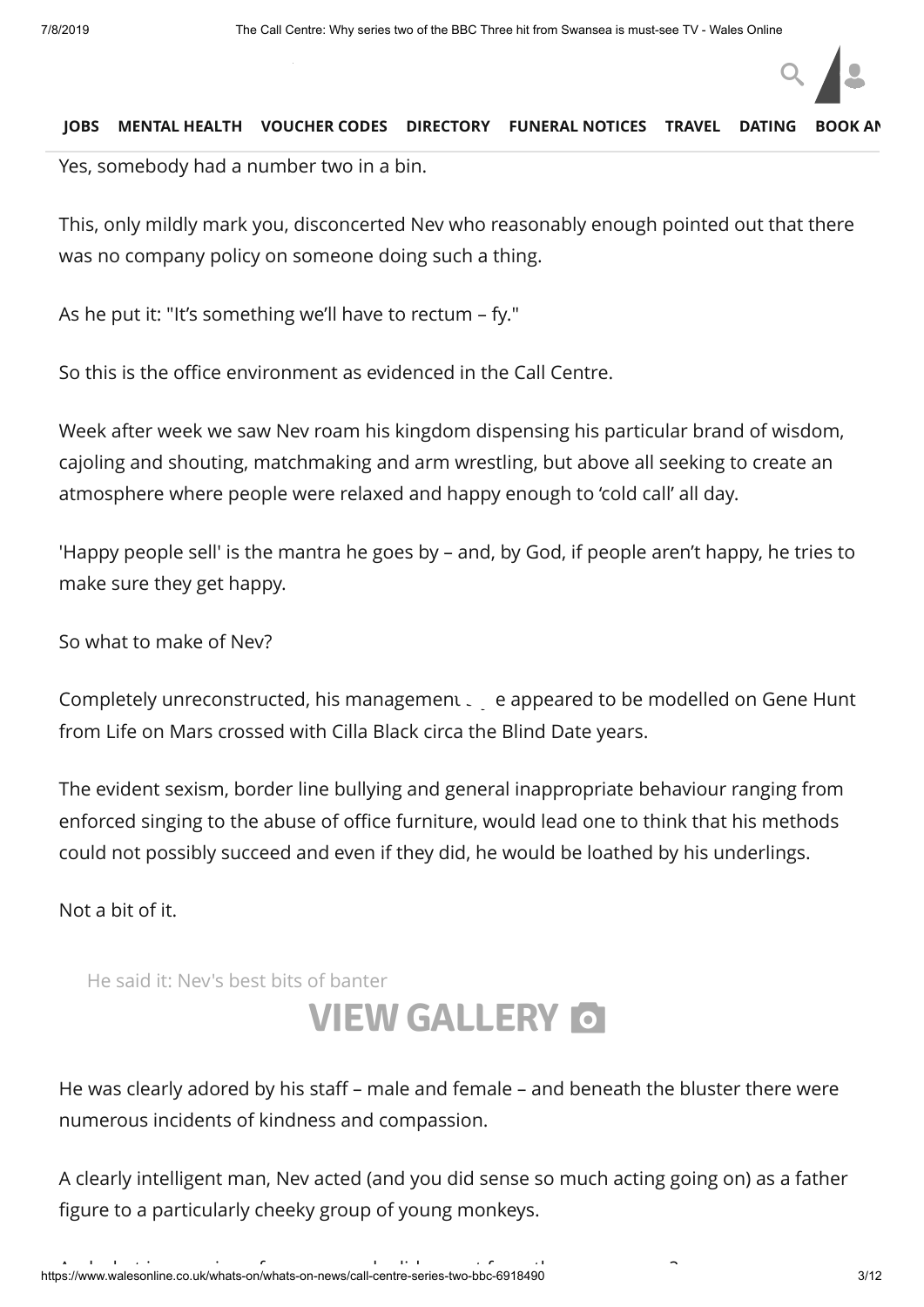It b[egan with Nev venturing](https://www.walesonline.co.uk/) into the women's total to investigate a case of defecation in a case of defecation

Yes, somebody had a number two in a bin.

This, only mildly mark you, disconcerted Nev who reasonably enough pointed out that there was no company policy on someone doing such a thing.

As he put it: "It's something we'll have to rectum – fy."

So this is the office environment as evidenced in the Call Centre.

Week after week we saw Nev roam his kingdom dispensing his particular brand of wisdom, cajoling and shouting, matchmaking and arm wrestling, but above all seeking to create an atmosphere where people were relaxed and happy enough to 'cold call' all day.

'Happy people sell' is the mantra he goes by – and, by God, if people aren't happy, he tries to make sure they get happy.

So what to make of Nev?

Completely unreconstructed, his management style appeared to be modelled on Gene Hunt from Life on Mars crossed with Cilla Black circa the Blind Date years.

The evident sexism, border line bullying and general inappropriate behaviour ranging from enforced singing to the abuse of office furniture, would lead one to think that his methods could not possibly succeed and even if they did, he would be loathed by his underlings.

Not a bit of it.

He said it: Nev's best bits of banter

## **VIEW [GALLERY](https://www.walesonline.co.uk/incoming/gallery/said-it-nevs-best-bits-6902955)**

He was clearly adored by his staff – male and female – and beneath the bluster there were numerous incidents of kindness and compassion.

A clearly intelligent man, Nev acted (and you did sense so much acting going on) as a father figure to a particularly cheeky group of young monkeys.

 $Q \parallel$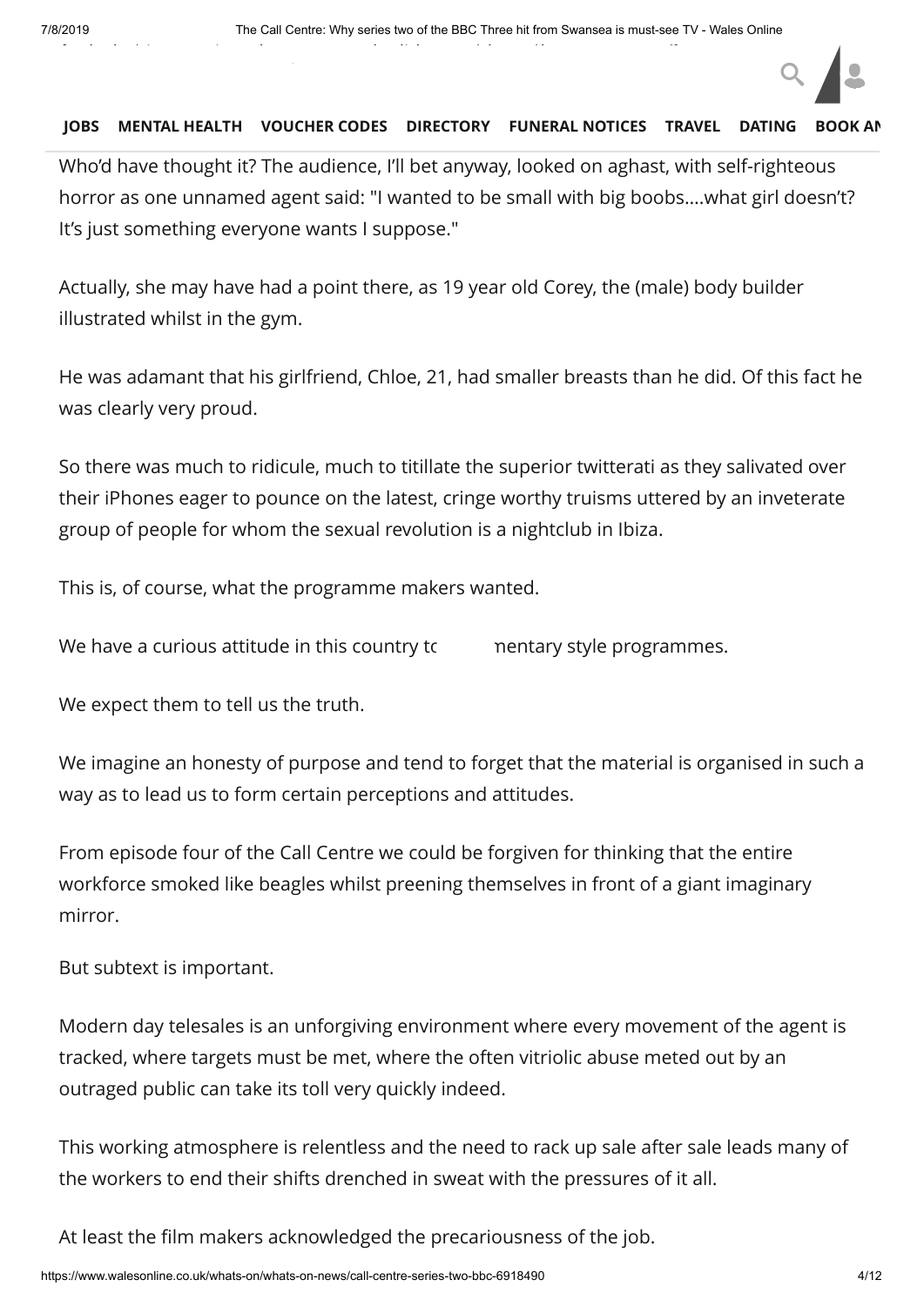Who'd have thought it? The audience, I'll bet anyway, looked on aghast, with self-righteous horror as one unnamed agent said: "I wanted to be small with big boobs….what girl doesn't? It's just something everyone wants I suppose."

Actually, she may have had a point there, as 19 year old Corey, the (male) body builder illustrated whilst in the gym.

He was adamant that his girlfriend, Chloe, 21, had smaller breasts than he did. Of this fact he was clearly very proud.

So there was much to ridicule, much to titillate the superior twitterati as they salivated over their iPhones eager to pounce on the latest, cringe worthy truisms uttered by an inveterate group of people for whom the sexual revolution is a nightclub in Ibiza.

This is, of course, what the programme makers wanted.

We have a curious attitude in this country to mentary style programmes.

We expect them to tell us the truth.

We imagine an honesty of purpose and tend to forget that the material is organised in such a way as to lead us to form certain perceptions and attitudes.

From episode four of the Call Centre we could be forgiven for thinking that the entire workforce smoked like beagles whilst preening themselves in front of a giant imaginary mirror.

But subtext is important.

Modern day telesales is an unforgiving environment where every movement of the agent is tracked, where targets must be met, where the often vitriolic abuse meted out by an outraged public can take its toll very quickly indeed.

This working atmosphere is relentless and the need to rack up sale after sale leads many of the workers to end their shifts drenched in sweat with the pressures of it all.

At least the film makers acknowledged the precariousness of the job.

 $Q \parallel$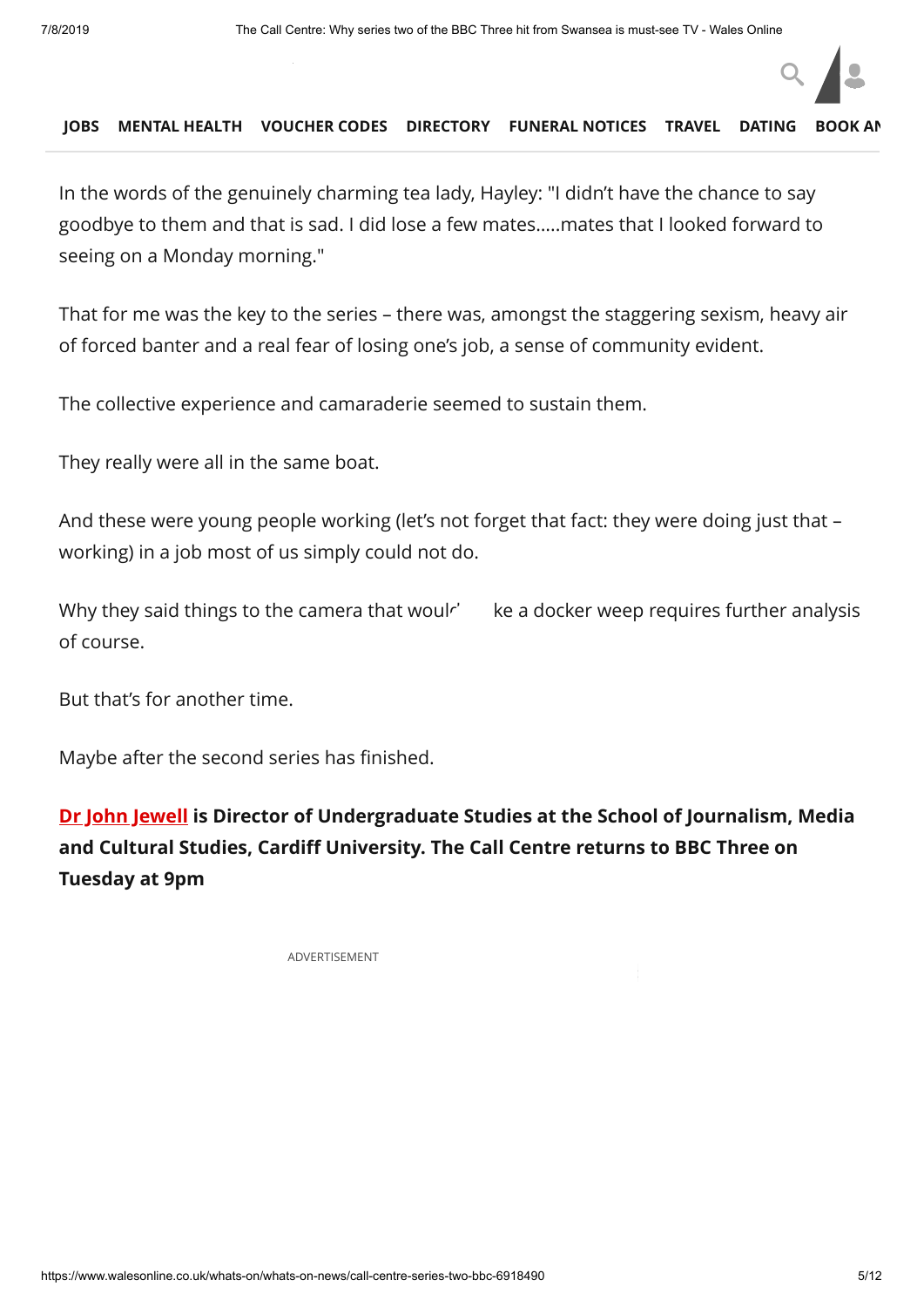#### [No ti](https://www.fish4.co.uk/jobs/wales/?utm_source=tm-walesonline&utm_medium=referral&utm_campaign=navlink)[me to pack, no tim](https://timewith.co.uk/blog?utm_source=wales_online&utm_medium=nav_bar)[e to say goodby](https://discountcode.mirror.co.uk/)e. **JOBS MENTAL HEALTH VOUCHER CODES [DIRECTORY](https://www.inyourarea.co.uk/localservices?branding=walesonline) [FUNERAL NOTICES](https://www.funeral-notices.co.uk/wales) [TRAVEL](https://www.walesonline.co.uk/special-features/holiday-deals-walesonline-travel-beach-14554645) [DATING](http://dating.walesonline.co.uk/) [BOOK AN](http://www.bookanad.com/regions/wales/)**

In the words of the genuinely charming tea lady, Hayley: "I didn't have the chance to say goodbye to them and that is sad. I did lose a few mates…..mates that I looked forward to seeing on a Monday morning."

That for me was the key to the series – there was, amongst the staggering sexism, heavy air of forced banter and a real fear of losing one's job, a sense of community evident.

The collective experience and camaraderie seemed to sustain them.

They really were all in the same boat.

And these were young people working (let's not forget that fact: they were doing just that – working) in a job most of us simply could not do.

Why they said things to the camera that woulr' ke a docker weep requires further analysis of course.

But that's for another time.

Maybe after the second series has finished.

**[Dr John Jewell](https://twitter.com/jjohnjewell) is Director of Undergraduate Studies at the School of Journalism, Media and Cultural Studies, Cardiff University. The Call Centre returns to BBC Three on Tuesday at 9pm**

ADVERTISEMENT

 $Q \parallel$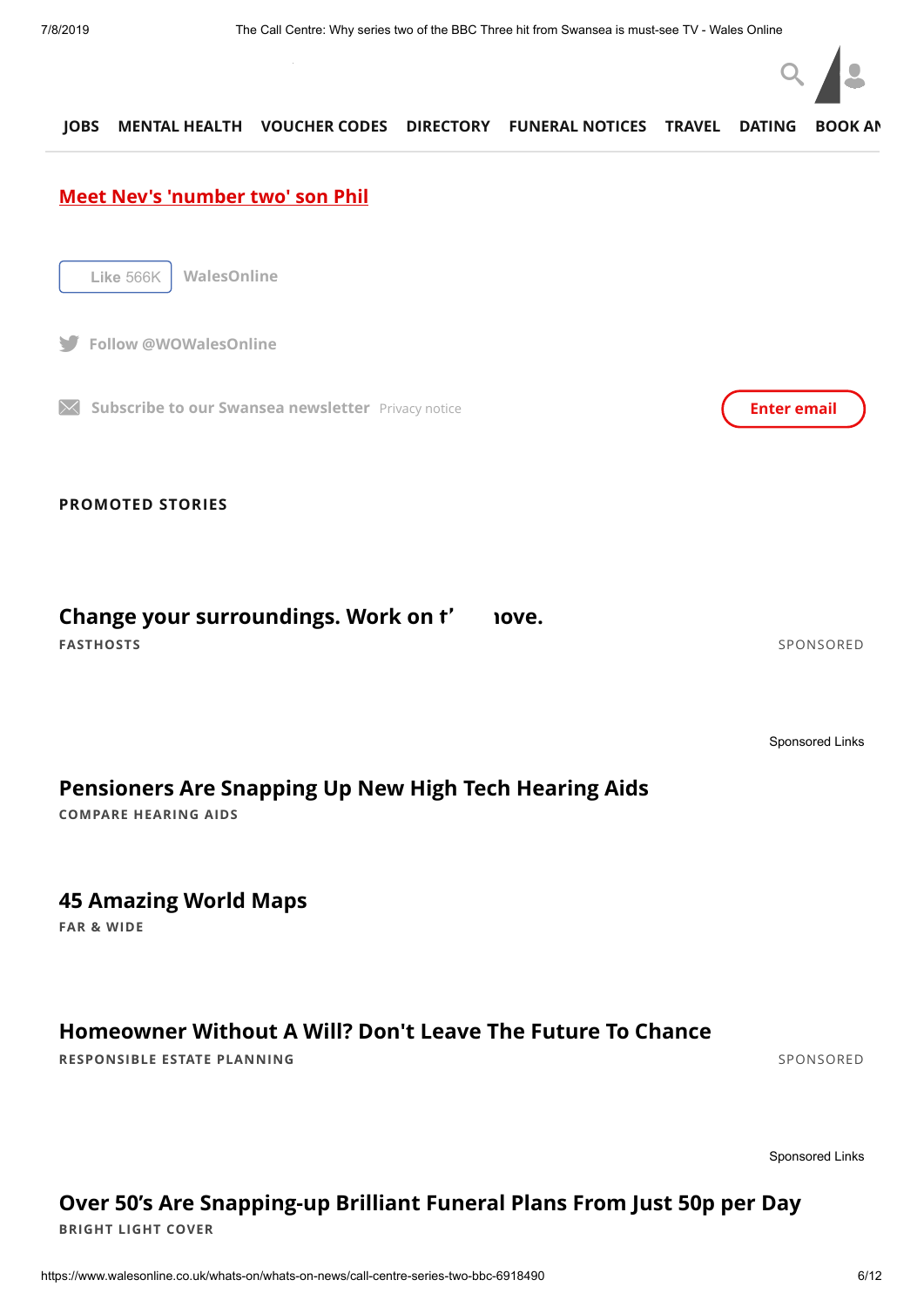

## **[Watch a trailer of the second series here](http://www.bbc.co.uk/programmes/p01w4sbh) JOBS MENTAL HEALTH VOUCHER CODES [DIRECTORY](https://www.inyourarea.co.uk/localservices?branding=walesonline) [FUNERAL NOTICES](https://www.funeral-notices.co.uk/wales) [TRAVEL](https://www.walesonline.co.uk/special-features/holiday-deals-walesonline-travel-beach-14554645) [DATING](http://dating.walesonline.co.uk/) [BOOK AN](http://www.bookanad.com/regions/wales/) [Meet Nev's 'number two' son Phil](http://www.bbc.co.uk/programmes/p01wlwzz) PROMOTED STORIES Like** 566K **WalesOnline Follow @WOWalesOnline If Subscribe to our Swansea newsletter** [Privacy notice](https://www.walesonline.co.uk/privacy-policy/) **Enter email Enter email FASTHOSTS** [SPONSORED](https://popup.taboola.com/en/?template=colorbox&utm_source=tmg-walesonline&utm_medium=referral&utm_content=thumbnails-feed:Below%20Article%20Thumbnails%20Responsive%20Feed%20|%20Card%201:) Change your surroundings. Work on t' nove. [Sponsored Links](https://popup.taboola.com/en/?template=colorbox&utm_source=tmg-walesonline&utm_medium=referral&utm_content=thumbnails-feed-a:Below%20Article%20Thumbnails%20Responsive%20Feed%20|%20Card%202:) **COMPARE HEARING AIDS FAR & WIDE [Pensioners Are Snapping Up New High Tech Hearing Aids](http://comparehearingaids.org/news/?code=NATO&utm_source=Taboola&utm_medium=Native&utm_campaign=Taboola&utm_term=tmg-walesonline) [45 Amazing World Maps](https://www.farandwide.com/s/amazing-world-maps-74d6186e6d0e414b?utm_campaign=amazingworldmaps-def0fcbeb4864737&utm_source=tab&utm_medium=cpc&utm_term=tmg-walesonline) RESPONSIBLE ESTATE PLANNING** [SPONSORED](https://popup.taboola.com/en/?template=colorbox&utm_source=tmg-walesonline&utm_medium=referral&utm_content=thumbnails-feed:Below%20Article%20Thumbnails%20Responsive%20Feed%20|%20Card%203:) **[Homeowner Without A Will? Don't Leave The Future To Chance](https://www.responsibleestateplanning.co.uk/wills-future.php?source=TB&medium=W2&term=rep-rll-native-desktop-1&utm_source=taboola&utm_medium=referral&utm_campaign=2286783)** [Sponsored Links](https://popup.taboola.com/en/?template=colorbox&utm_source=tmg-walesonline&utm_medium=referral&utm_content=thumbnails-feed-a:Below%20Article%20Thumbnails%20Responsive%20Feed%20|%20Card%204:)

#### **[Over 50's Are Snapping-up Brilliant Funeral Plans From Just 50p per Day](https://magnetise.io/click?ad=1472&site=463&layoutType=in_banner&layout=2984&action=1636&_msai=tmg-walesonline&_msd=2019-07-08+13%3A17%3A20&utm_content=233331535)**

**BRIGHT LIGHT COVER**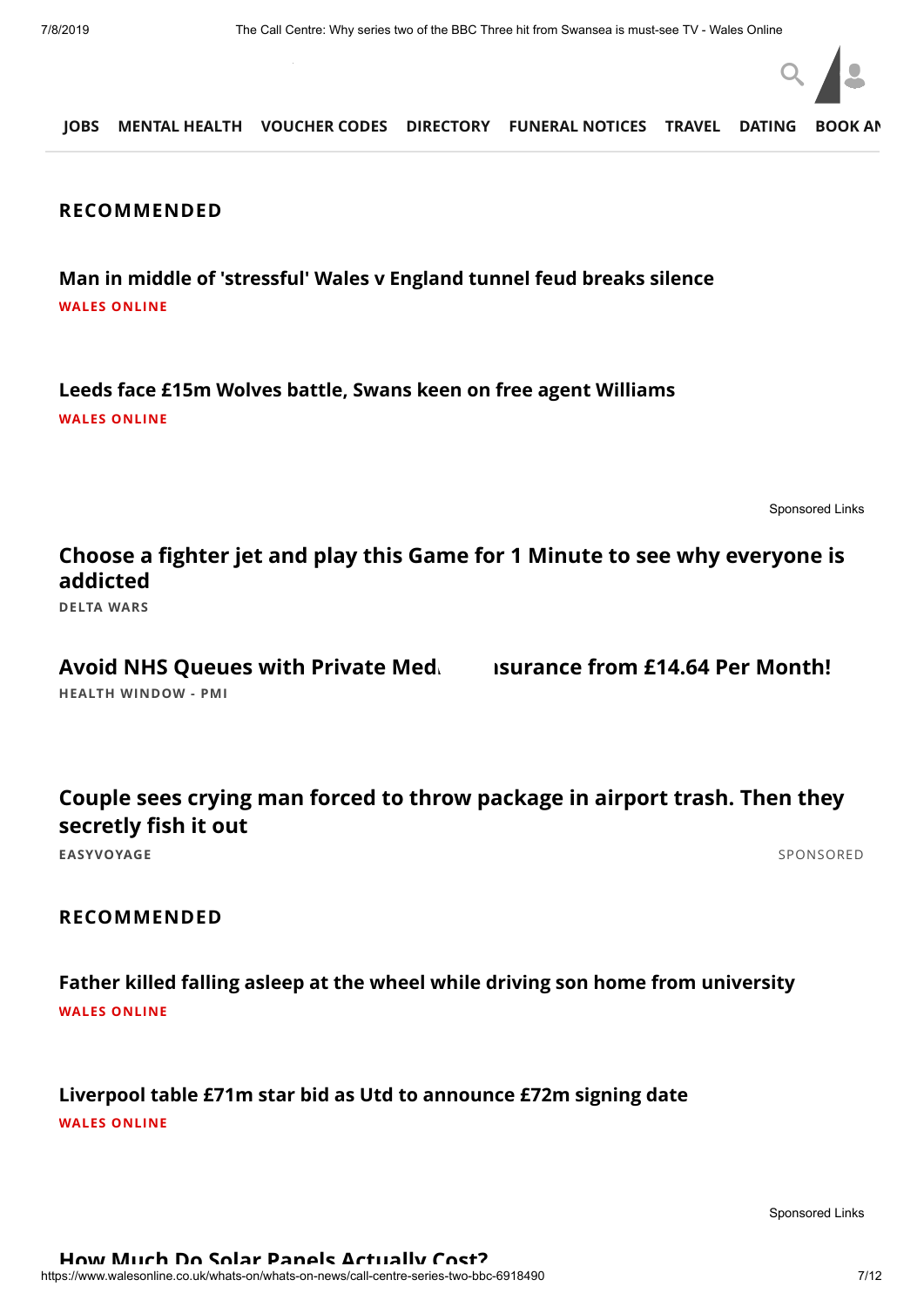

#### **RECOMMENDED**

**[Man in middle of 'stressful' Wales v England tunnel feud breaks silence](https://www.walesonline.co.uk/sport/rugby/jerome-garces-breaks-silence-wales-16434754?int_source=taboola&int_medium=display&int_campaign=organic) WALES ONLINE**

**[Leeds face £15m Wolves battle, Swans keen on free agent Williams](https://www.walesonline.co.uk/sport/football/transfer-news/leeds-united-face-15m-wolves-16338037?int_source=taboola&int_medium=display&int_campaign=organic) WALES ONLINE**

[Sponsored Links](https://popup.taboola.com/en/?template=colorbox&utm_source=tmg-walesonline&utm_medium=referral&utm_content=thumbnails-feed-a:Below%20Article%20Thumbnails%20Responsive%20Feed%20|%20Card%207:)

**[Choose a fighter jet and play this Game for 1 Minute to see why everyone is](https://www.5.deltawars.com/?r=tabdw5enb16&utm_source=taboola&utm_medium=referral) addicted**

**DELTA WARS**

**HEALTH WINDOW - PMI** Avoid NHS Queues with Private Med**ical Insurance from £14.64 Per Month!** 

**[Couple sees crying man forced to throw package in airport trash. Then they](http://tops.easyvoyage.co.uk/snowball-airport/?utm_source=taboola&utm_campaign=desktop-bouledeneige-uk&utm_medium=cpc&utm_content=tmg-walesonline) secretly fish it out**

**EASYVOYAGE** [SPONSORED](https://popup.taboola.com/en/?template=colorbox&utm_source=tmg-walesonline&utm_medium=referral&utm_content=thumbnails-feed:Below%20Article%20Thumbnails%20Responsive%20Feed%20|%20Card%208:)

#### **RECOMMENDED**

**[Father killed falling asleep at the wheel while driving son home from university](https://www.walesonline.co.uk/news/wales-news/father-killed-falling-asleep-wheel-16010259?__twitter_impression=true&int_source=taboola&int_medium=display&int_campaign=organic) WALES ONLINE**

**[Liverpool table £71m star bid as Utd to announce £72m signing date](https://www.walesonline.co.uk/sport/football/transfer-news/liverpool-table-huge-71m-bid-16390346?int_source=taboola&int_medium=display&int_campaign=organic) WALES ONLINE**

[Sponsored Links](https://popup.taboola.com/en/?template=colorbox&utm_source=tmg-walesonline&utm_medium=referral&utm_content=thumbnails-feed-a:Below%20Article%20Thumbnails%20Responsive%20Feed%20|%20Card%2010:)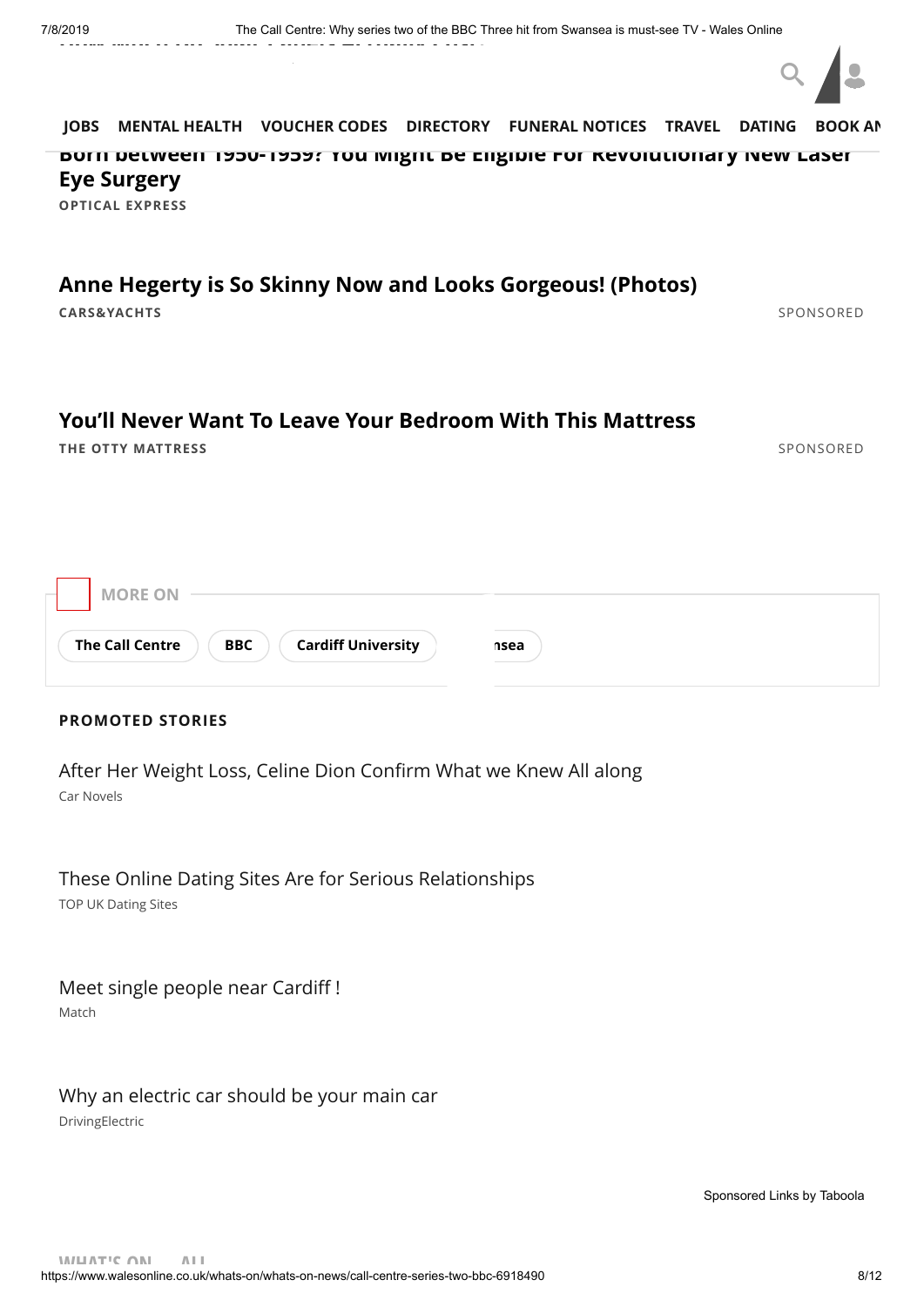

**OPTICAL EXPRESS [Born between 1950-1959? You Might Be Eligible For Revolutionary New Laser](http://opticalexpress.perfect-sight.co.uk/amazing-new-laser-eye-surgery?utm_campaign=1460070&utm_content=240392330&cid=59ce5c72e3736&utm_source=taboola&utm_medium=tmg-walesonline&campaign=59ce5c72e3736-B2C-LE-UK-OE-Oct-D&platform=Desktop&utm_term=Born+between+1950-1959%3F+You+Might+Be+Eligible+For+Revolutionary+New+Laser+Eye+Surgery&utm_content=https%3A%2F%2Fconsole.brax-cdn.com%2Fcreatives%2F44dd7285-cd6a-4a0f-9085-8137587509a3%2F02_1000x600_85956d0fded1ff8a46b32e815985e001.png&network=tmg-walesonline&title=Born+between+1950-1959%3F+You+Might+Be+Eligible+For+Revolutionary+New+Laser+Eye+Surgery) Eye Surgery [JOBS](https://www.fish4.co.uk/jobs/wales/?utm_source=tm-walesonline&utm_medium=referral&utm_campaign=navlink) [MENTAL HEALTH](https://timewith.co.uk/blog?utm_source=wales_online&utm_medium=nav_bar) [VOUCHER CODES](https://discountcode.mirror.co.uk/) [DIRECTORY](https://www.inyourarea.co.uk/localservices?branding=walesonline) [FUNERAL NOTICES](https://www.funeral-notices.co.uk/wales) [TRAVEL](https://www.walesonline.co.uk/special-features/holiday-deals-walesonline-travel-beach-14554645) [DATING](http://dating.walesonline.co.uk/) [BOOK AN](http://www.bookanad.com/regions/wales/)**

#### **[Anne Hegerty is So Skinny Now and Looks Gorgeous! \(Photos\)](http://carsandyachts.com/trending/51-celebrities-their-phenomenal-weight-loss-transformation-tb/?utm_source=taboola&utm_medium=tmg-walesonline&utm_campaign=2394672&utm_term=Anne+Hegerty+is+So+Skinny+Now+and+Looks+Gorgeous%21+%28Photos%29&utm_content=http%3A%2F%2Fcdn.taboola.com%2Flibtrc%2Fstatic%2Fthumbnails%2F9ec20c7fd77521f4b7a865e0e0befbed.jpg&id=2019-07-08+13%3A17%3A20)**

**CARS&YACHTS** [SPONSORED](https://popup.taboola.com/en/?template=colorbox&utm_source=tmg-walesonline&utm_medium=referral&utm_content=thumbnails-feed:Below%20Article%20Thumbnails%20Responsive%20Feed%20|%20Card%2011:)

#### **[You'll Never Want To Leave Your Bedroom With This Mattress](https://otty.com/products/otty-essential-hybrid-mattress?variant=16133266047027&utm_source=taboola&utm_medium=native&utm_campaign=Otty+-+Feb+2018+-+Desktop+-+Lower+Social+Grade+Demographic&adid=171189783&adplacement=tmg-walesonline&adname=You%E2%80%99ll+Never+Want+To+Leave+Your+Bedroom+With+This+Mattress)**

**THE OTTY MATTRESS** [SPONSORED](https://popup.taboola.com/en/?template=colorbox&utm_source=tmg-walesonline&utm_medium=referral&utm_content=thumbnails-feed:Below%20Article%20Thumbnails%20Responsive%20Feed%20|%20Card%2012:)

#### **PROMOTED STORIES**

Car Novels [After Her Weight Loss, Celine Dion Confirm What we Knew All along](http://rfvtgb.carnovels.com/worldwide/celine-dion?utm_medium=taboola&utm_source=taboola&utm_campaign=ta-cn-celine-dion-des-uk-04069d&utm_term=tmg-walesonline)

TOP UK Dating Sites [These Online Dating Sites Are for Serious Relationships](https://www.top10bestdatingsites.co.uk/?utm_source=taboola&utm_medium=tmg-walesonline&utm_campaign=T438&a=T438&ts=tabdat&taboola_campaign=1723152&c=238725919&taboolaclickid=CjAyN2ViZThiNy04YmY0LTRiNmQtOGY5Ni1hYjBjY2QyYThmN2QtdHVjdDM5ZTI1MWYSFm5hdHVyYWxpbnRlbGxpZ2VuY2Utc2M&campaign_id=1723152&ad_id=238725919&publisher_id=tmg-walesonline)

[Meet single people near Cardiff !](http://k.ilius.net/?mtcmk=908635&fsid=100&utm_source=taboola&utm_term=tmg-walesonline)

Match

#### [Why an electric car should be your main car](https://www.drivingelectric.com/your-questions-answered/643/why-electric-car-should-be-your-main-car?utm_source=taboola&utm_medium=cpc&utm_campaign=TBWhyElectric&utm_content=tmg-walesonline)

DrivingElectric

[Sponsored Links](https://popup.taboola.com/en/?template=colorbox&utm_source=tmg-walesonline&utm_medium=referral&utm_content=thumbnails-e:Right%20Rail%20Thumbnails%20Responsive:) [by Taboola](https://popup.taboola.com/en/?template=colorbox&utm_source=tmg-walesonline&utm_medium=referral&utm_content=thumbnails-e:Right%20Rail%20Thumbnails%20Responsive:)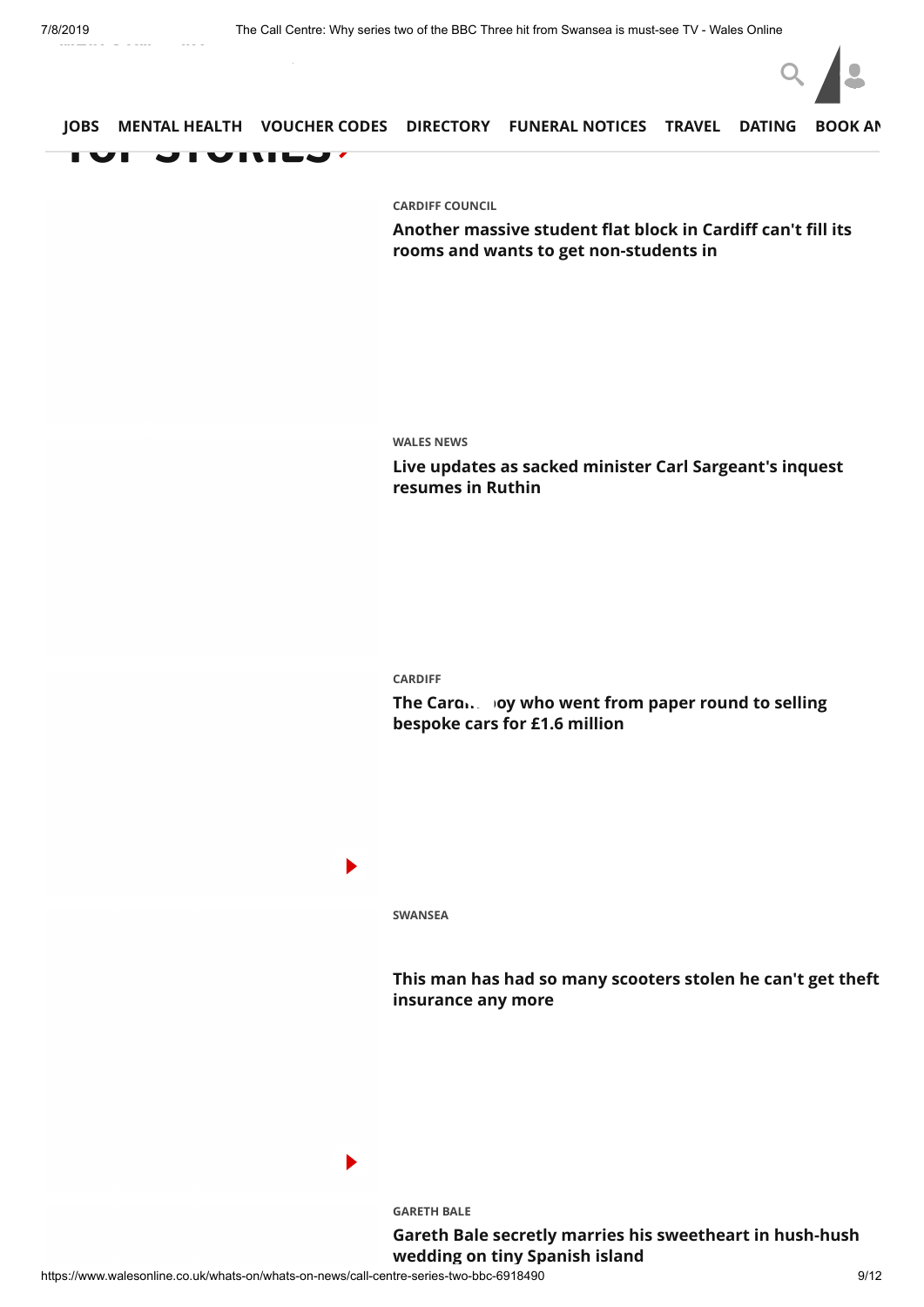

**[CARDIFF COUNCIL](https://www.walesonline.co.uk/all-about/cardiff-council)**

**[Another massive student flat block in Cardiff can't fill its](https://www.walesonline.co.uk/news/local-news/another-massive-student-flat-block-16541083) rooms and wants to get non-students in**

#### **[WALES NEWS](https://www.walesonline.co.uk/news/wales-news/)**

**[Live updates as sacked minister Carl Sargeant's inquest](https://www.walesonline.co.uk/news/wales-news/live-updates-sacked-minister-carl-16547545) resumes in Ruthin**

#### **[CARDIFF](https://www.walesonline.co.uk/all-about/cardiff)**

The Cardi. **Joy who went from paper round to selling bespoke cars for £1.6 million**

Þ

 $\blacktriangleright$ 

**[SWANSEA](https://www.walesonline.co.uk/all-about/swansea)**

**[This man has had so many scooters stolen he can't get theft](https://www.walesonline.co.uk/news/wales-news/theft-scooter-stolen-swansea-16526094) insurance any more**

**[GARETH BALE](https://www.walesonline.co.uk/all-about/gareth-bale)**

**[Gareth Bale secretly marries his sweetheart in hush-hush](https://www.walesonline.co.uk/sport/football/football-news/gareth-bale-secretly-marries-cardiff-16545242) wedding on tiny Spanish island**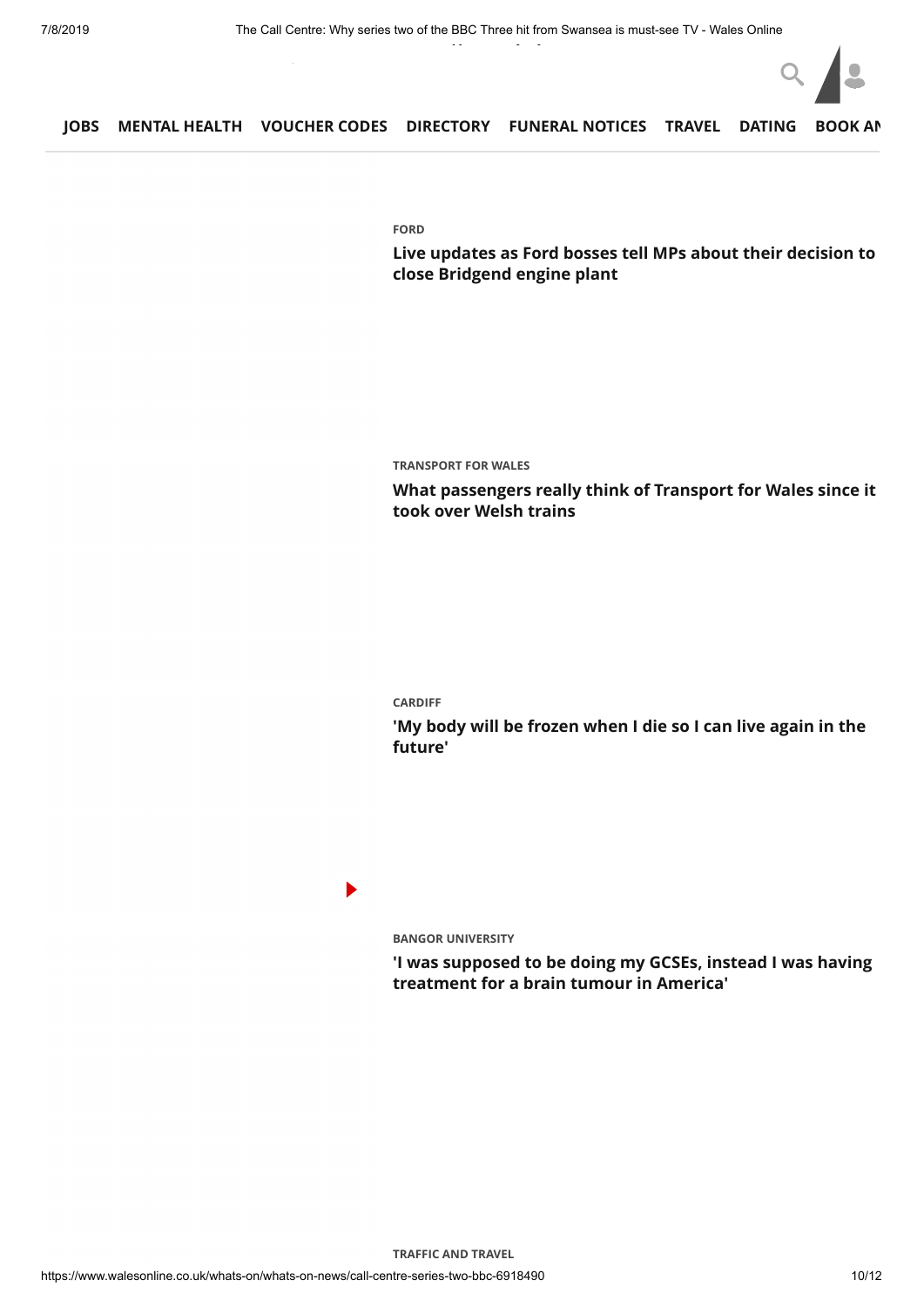

**[FORD](https://www.walesonline.co.uk/all-about/ford)**

**[Live updates as Ford bosses tell MPs about their decision to](https://www.walesonline.co.uk/news/politics/live-updates-ford-bosses-tell-16547753) close Bridgend engine plant**

**[TRANSPORT FOR WALES](https://www.walesonline.co.uk/all-about/transport-for-wales)**

**[What passengers really think of Transport for Wales since it](https://www.walesonline.co.uk/news/politics/what-passengers-really-think-transport-16503766) took over Welsh trains**

#### **[CARDIFF](https://www.walesonline.co.uk/all-about/cardiff)**

**['My body will be frozen when I die so I can live again in the](https://www.walesonline.co.uk/news/wales-news/my-body-frozen-die-can-16535212) future'**

#### $\blacktriangleright$

**[BANGOR UNIVERSITY](https://www.walesonline.co.uk/all-about/bangor-university)**

**['I was supposed to be doing my GCSEs, instead I was having](https://www.walesonline.co.uk/news/wales-news/proton-beam-therapy-student-cancer-16500283) treatment for a brain tumour in America'**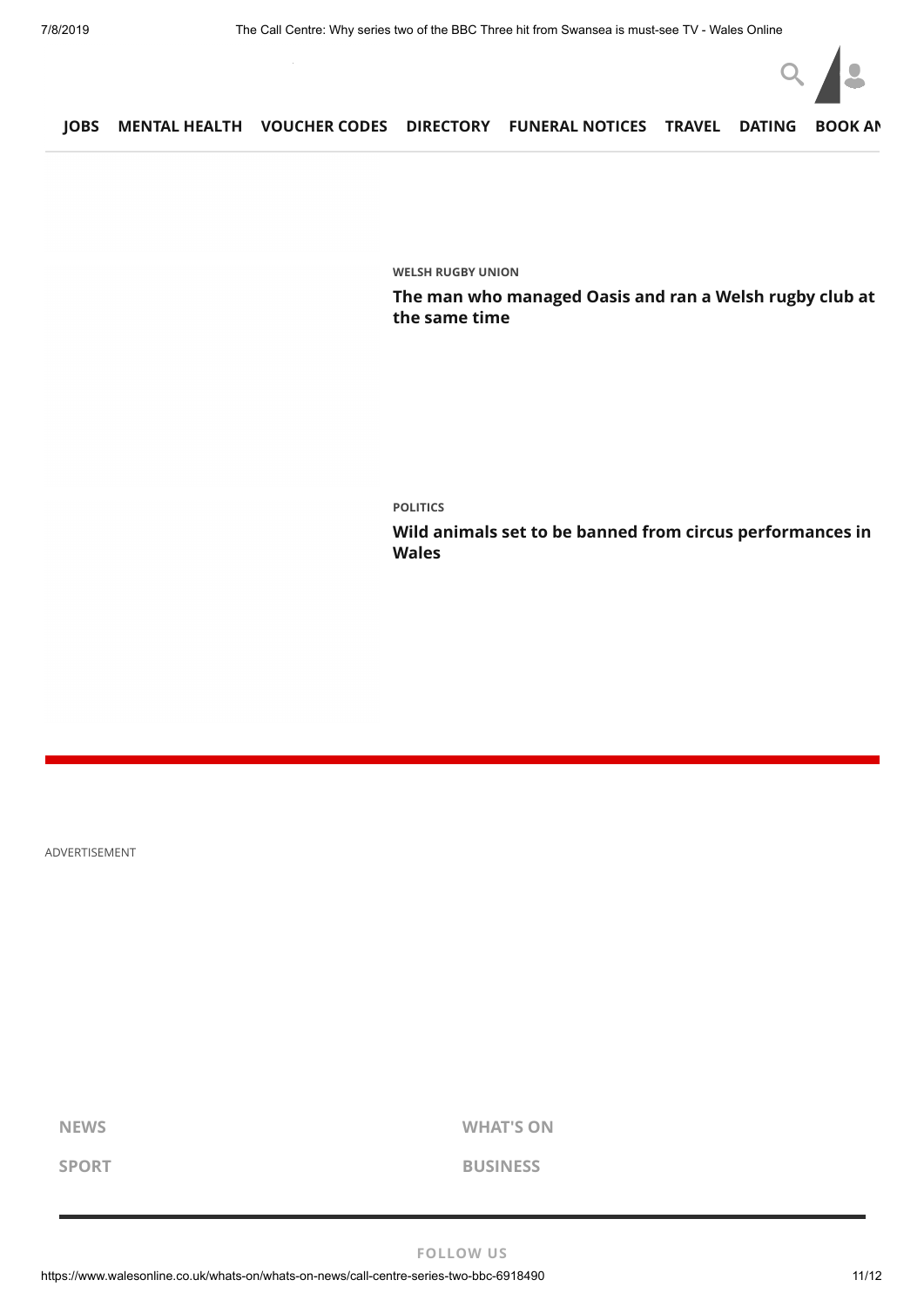

**[WELSH RUGBY UNION](https://www.walesonline.co.uk/all-about/welsh-rugby-union)**

**[The man who managed Oasis and ran a Welsh rugby club at](https://www.walesonline.co.uk/sport/rugby/rugby-news/man-who-managed-oasis-ran-16520383) the same time**

**[POLITICS](https://www.walesonline.co.uk/all-about/politics)**

**[Wild animals set to be banned from circus performances in](https://www.walesonline.co.uk/news/wales-news/wild-animals-circus-wales-ban-16546119) Wales**

ADVERTISEMENT

**[NEWS](https://www.walesonline.co.uk/news/) [WHAT'S ON](https://www.walesonline.co.uk/whats-on/)**

**[SPORT](https://www.walesonline.co.uk/sport/) [BUSINESS](https://www.business-live.co.uk/all-about/wales)**